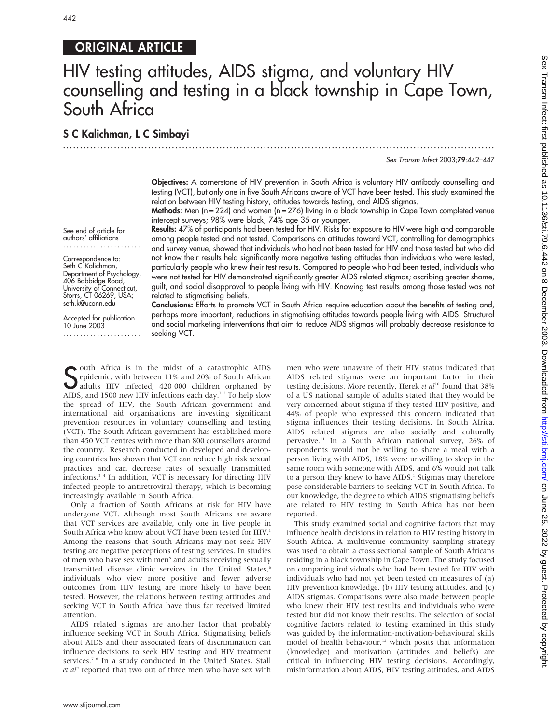# 442

# ORIGINAL ARTICLE

# HIV testing attitudes, AIDS stigma, and voluntary HIV counselling and testing in a black township in Cape Town, South Africa

.............................................................................................................................. .

# S C Kalichman, L C Simbayi

Sex Transm Infect 2003;79:442–447

Objectives: A cornerstone of HIV prevention in South Africa is voluntary HIV antibody counselling and testing (VCT), but only one in five South Africans aware of VCT have been tested. This study examined the relation between HIV testing history, attitudes towards testing, and AIDS stigmas.

**Methods:** Men ( $n = 224$ ) and women ( $n = 276$ ) living in a black township in Cape Town completed venue intercept surveys; 98% were black, 74% age 35 or younger.

See end of article for authors' affiliations .......................

Correspondence to: Seth C Kalichman, Department of Psychology, 406 Babbidge Road, University of Connecticut, Storrs, CT 06269, USA; seth.k@uconn.edu

Accepted for publication 10 June 2003 .......................

Results: 47% of participants had been tested for HIV. Risks for exposure to HIV were high and comparable among people tested and not tested. Comparisons on attitudes toward VCT, controlling for demographics and survey venue, showed that individuals who had not been tested for HIV and those tested but who did not know their results held significantly more negative testing attitudes than individuals who were tested, particularly people who knew their test results. Compared to people who had been tested, individuals who were not tested for HIV demonstrated significantly greater AIDS related stigmas; ascribing greater shame, guilt, and social disapproval to people living with HIV. Knowing test results among those tested was not related to stigmatising beliefs.

Conclusions: Efforts to promote VCT in South Africa require education about the benefits of testing and, perhaps more important, reductions in stigmatising attitudes towards people living with AIDS. Structural and social marketing interventions that aim to reduce AIDS stigmas will probably decrease resistance to seeking VCT.

**S** outh Africa is in the midst of a catastrophic AIDS<br>
sepidemic, with between 11% and 20% of South African<br>
adults HIV infected, 420 000 children orphaned by<br>
AIDS and 1500 new HIV infections each day <sup>1,2</sup> To belp slow epidemic, with between 11% and 20% of South African adults HIV infected, 420 000 children orphaned by AIDS, and 1500 new HIV infections each day.<sup>12</sup> To help slow the spread of HIV, the South African government and international aid organisations are investing significant prevention resources in voluntary counselling and testing (VCT). The South African government has established more than 450 VCT centres with more than 800 counsellors around the country.<sup>1</sup> Research conducted in developed and developing countries has shown that VCT can reduce high risk sexual practices and can decrease rates of sexually transmitted infections.3 4 In addition, VCT is necessary for directing HIV infected people to antiretroviral therapy, which is becoming increasingly available in South Africa.

Only a fraction of South Africans at risk for HIV have undergone VCT. Although most South Africans are aware that VCT services are available, only one in five people in South Africa who know about VCT have been tested for HIV.<sup>1</sup> Among the reasons that South Africans may not seek HIV testing are negative perceptions of testing services. In studies of men who have sex with men<sup>5</sup> and adults receiving sexually transmitted disease clinic services in the United States,<sup>6</sup> individuals who view more positive and fewer adverse outcomes from HIV testing are more likely to have been tested. However, the relations between testing attitudes and seeking VCT in South Africa have thus far received limited attention.

AIDS related stigmas are another factor that probably influence seeking VCT in South Africa. Stigmatising beliefs about AIDS and their associated fears of discrimination can influence decisions to seek HIV testing and HIV treatment services.<sup>7 8</sup> In a study conducted in the United States, Stall  $et$   $al^{\circ}$  reported that two out of three men who have sex with men who were unaware of their HIV status indicated that AIDS related stigmas were an important factor in their testing decisions. More recently, Herek et  $al^{10}$  found that 38% of a US national sample of adults stated that they would be very concerned about stigma if they tested HIV positive, and 44% of people who expressed this concern indicated that stigma influences their testing decisions. In South Africa, AIDS related stigmas are also socially and culturally pervasive.11 In a South African national survey, 26% of respondents would not be willing to share a meal with a person living with AIDS, 18% were unwilling to sleep in the same room with someone with AIDS, and 6% would not talk to a person they knew to have AIDS.<sup>1</sup> Stigmas may therefore pose considerable barriers to seeking VCT in South Africa. To our knowledge, the degree to which AIDS stigmatising beliefs are related to HIV testing in South Africa has not been reported.

This study examined social and cognitive factors that may influence health decisions in relation to HIV testing history in South Africa. A multivenue community sampling strategy was used to obtain a cross sectional sample of South Africans residing in a black township in Cape Town. The study focused on comparing individuals who had been tested for HIV with individuals who had not yet been tested on measures of (a) HIV prevention knowledge, (b) HIV testing attitudes, and (c) AIDS stigmas. Comparisons were also made between people who knew their HIV test results and individuals who were tested but did not know their results. The selection of social cognitive factors related to testing examined in this study was guided by the information-motivation-behavioural skills model of health behaviour,<sup>12</sup> which posits that information (knowledge) and motivation (attitudes and beliefs) are critical in influencing HIV testing decisions. Accordingly, misinformation about AIDS, HIV testing attitudes, and AIDS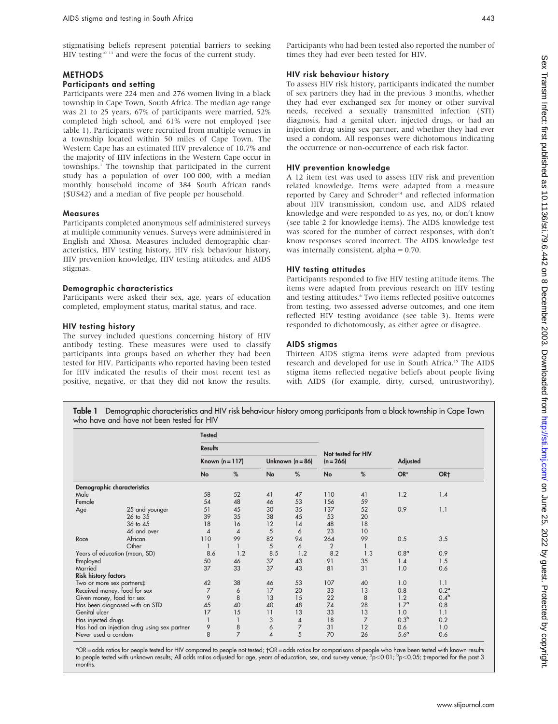stigmatising beliefs represent potential barriers to seeking HIV testing<sup>10 13</sup> and were the focus of the current study.

### **METHODS**

### Participants and setting

Participants were 224 men and 276 women living in a black township in Cape Town, South Africa. The median age range was 21 to 25 years, 67% of participants were married, 52% completed high school, and 61% were not employed (see table 1). Participants were recruited from multiple venues in a township located within 50 miles of Cape Town. The Western Cape has an estimated HIV prevalence of 10.7% and the majority of HIV infections in the Western Cape occur in townships.1 The township that participated in the current study has a population of over 100 000, with a median monthly household income of 384 South African rands (\$US42) and a median of five people per household.

### Measures

Participants completed anonymous self administered surveys at multiple community venues. Surveys were administered in English and Xhosa. Measures included demographic characteristics, HIV testing history, HIV risk behaviour history, HIV prevention knowledge, HIV testing attitudes, and AIDS stigmas.

### Demographic characteristics

Participants were asked their sex, age, years of education completed, employment status, marital status, and race.

#### HIV testing history

The survey included questions concerning history of HIV antibody testing. These measures were used to classify participants into groups based on whether they had been tested for HIV. Participants who reported having been tested for HIV indicated the results of their most recent test as positive, negative, or that they did not know the results. Participants who had been tested also reported the number of times they had ever been tested for HIV.

### HIV risk behaviour history

To assess HIV risk history, participants indicated the number of sex partners they had in the previous 3 months, whether they had ever exchanged sex for money or other survival needs, received a sexually transmitted infection (STI) diagnosis, had a genital ulcer, injected drugs, or had an injection drug using sex partner, and whether they had ever used a condom. All responses were dichotomous indicating the occurrence or non-occurrence of each risk factor.

### HIV prevention knowledge

A 12 item test was used to assess HIV risk and prevention related knowledge. Items were adapted from a measure reported by Carey and Schroder<sup>14</sup> and reflected information about HIV transmission, condom use, and AIDS related knowledge and were responded to as yes, no, or don't know (see table 2 for knowledge items). The AIDS knowledge test was scored for the number of correct responses, with don't know responses scored incorrect. The AIDS knowledge test was internally consistent, alpha = 0.70.

### HIV testing attitudes

Participants responded to five HIV testing attitude items. The items were adapted from previous research on HIV testing and testing attitudes.<sup>6</sup> Two items reflected positive outcomes from testing, two assessed adverse outcomes, and one item reflected HIV testing avoidance (see table 3). Items were responded to dichotomously, as either agree or disagree.

#### AIDS stigmas

Thirteen AIDS stigma items were adapted from previous research and developed for use in South Africa.<sup>15</sup> The AIDS stigma items reflected negative beliefs about people living with AIDS (for example, dirty, cursed, untrustworthy),

Table 1 Demographic characteristics and HIV risk behaviour history among participants from a black township in Cape Town who have and have not been tested for HIV

|                                |                                             | <b>Tested</b><br><b>Results</b> |                                       |                    |                |                    |     |                  |                  |  |
|--------------------------------|---------------------------------------------|---------------------------------|---------------------------------------|--------------------|----------------|--------------------|-----|------------------|------------------|--|
|                                |                                             |                                 |                                       |                    |                | Not tested for HIV |     |                  |                  |  |
|                                |                                             | Known $(n = 117)$               |                                       | Unknown $(n = 86)$ |                | $(n = 266)$        |     | Adjusted         |                  |  |
|                                |                                             | No                              | %                                     | No                 | %              | No                 | %   | OR*              | OR <sub>†</sub>  |  |
|                                | Demographic characteristics                 |                                 |                                       |                    |                |                    |     |                  |                  |  |
| Male                           |                                             | 58                              | 52                                    | 41                 | 47             | 110                | 41  | 1.2              | 1.4              |  |
| Female                         |                                             | 54                              | 48                                    | 46                 | 53             | 156                | 59  |                  |                  |  |
| Age                            | 25 and younger                              | 51                              | 45                                    | 30                 | 35             | 137                | 52  | 0.9              | 1.1              |  |
|                                | 26 to 35                                    | 39                              | 35                                    | 38                 | 45             | 53                 | 20  |                  |                  |  |
|                                | 36 to 45                                    | 18                              | 16                                    | 12                 | 14             | 48                 | 18  |                  |                  |  |
|                                | 46 and over                                 | $\overline{4}$                  | $\sqrt{4}$                            | 5                  | 6              | 23                 | 10  |                  |                  |  |
| Race                           | African                                     | 110                             | 99                                    | 82                 | 94             | 264                | 99  | 0.5              | 3.5              |  |
|                                | Other                                       |                                 |                                       | 5                  | 6              | $\overline{2}$     |     |                  |                  |  |
|                                | Years of education (mean, SD)               | 8.6                             | 1.2                                   | 8.5                | 1.2            | 8.2                | 1.3 | 0.8 <sup>a</sup> | 0.9              |  |
| Employed                       |                                             | 50                              | 46                                    | 37                 | 43             | 91                 | 35  | 1.4              | 1.5              |  |
| Married                        |                                             | 37                              | 33                                    | 37                 | 43             | 81                 | 31  | 1.0              | 0.6              |  |
| <b>Risk history factors</b>    |                                             |                                 |                                       |                    |                |                    |     |                  |                  |  |
| Two or more sex partners‡      |                                             | 42                              | 38                                    | 46                 | 53             | 107                | 40  | 1.0              | 1.1              |  |
| Received money, food for sex   |                                             | $\overline{7}$                  | 6                                     | 17                 | 20             | 33                 | 13  | 0.8              | 0.2 <sup>a</sup> |  |
| Given money, food for sex      |                                             | 9                               | 8                                     | 13                 | 15             | 22                 | 8   | 1.2              | 0.4 <sup>b</sup> |  |
| Has been diagnosed with an STD |                                             | 45                              | 40                                    | 40                 | 48             | 74                 | 28  | 1.7 <sup>a</sup> | 0.8              |  |
| Genital ulcer                  |                                             | 17                              | 15                                    | 11                 | 13             | 33                 | 13  | 1.0              | 1.1              |  |
| Has injected drugs             |                                             |                                 |                                       | 3                  | $\overline{4}$ | 18                 | 7   | 0.3 <sup>b</sup> | 0.2              |  |
|                                | Has had an injection drug using sex partner | 9                               | $\begin{array}{c} 8 \\ 7 \end{array}$ | 6                  | $\overline{7}$ | 31                 | 12  | 0.6              | 1.0              |  |
| Never used a condom            |                                             | 8                               |                                       | $\overline{4}$     | 5              | 70                 | 26  | 5.6 <sup>a</sup> | 0.6              |  |

\*OR = odds ratios for people tested for HIV compared to people not tested; OR = odds ratios for comparisons of people who have been tested with known results to people tested with unknown results; All odds ratios adjusted for age, years of education, sex, and survey venue; <sup>a</sup>p<0.01; <sup>b</sup>p<0.05; ‡reported for the past 3 months.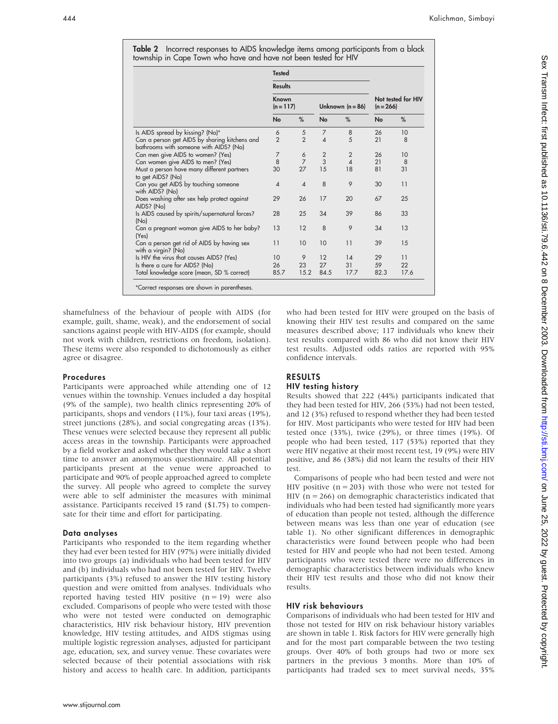Table 2 Incorrect responses to AIDS knowledge items among participants from a black township in Cape Town who have and have not been tested for HIV

|                                                                                         | <b>Tested</b>            |                        |                  |                |                                   |      |
|-----------------------------------------------------------------------------------------|--------------------------|------------------------|------------------|----------------|-----------------------------------|------|
|                                                                                         | <b>Results</b>           |                        |                  |                |                                   |      |
|                                                                                         | Known<br>$(n = 117)$     |                        | Unknown (n = 86) |                | Not tested for HIV<br>$(n = 266)$ |      |
|                                                                                         | <b>No</b>                | %                      | No               | %              | No                                | %    |
| Is AIDS spread by kissing? (No)*                                                        | 6                        | 5                      | 7                | 8              | 26                                | 10   |
| Can a person get AIDS by sharing kitchens and<br>bathrooms with someone with AIDS? (No) | $\overline{2}$           | $\overline{2}$         | 4                | 5              | 21                                | 8    |
| Can men give AIDS to women? (Yes)                                                       | $\overline{7}$           | 6                      | $\overline{2}$   | $\overline{2}$ | 26                                | 10   |
| Can women give AIDS to men? (Yes)                                                       | 8                        | $\overline{7}$         | 3                | $\overline{4}$ | 21                                | 8    |
| Must a person have many different partners<br>to get AIDS? (No)                         | 30                       | 27                     | 15               | 18             | 81                                | 31   |
| Can you get AIDS by touching someone<br>with AIDS? (No)                                 | $\overline{\mathcal{A}}$ | $\boldsymbol{\Lambda}$ | 8                | 9              | 30                                | 11   |
| Does washing after sex help protect against<br>AIDS? (No)                               | 29                       | 26                     | 17               | 20             | 67                                | 25   |
| Is AIDS caused by spirits/supernatural forces?<br>(No)                                  | 28                       | 25                     | 34               | 39             | 86                                | 33   |
| Can a pregnant woman give AIDS to her baby?<br>(Yes)                                    | 13                       | 12                     | 8                | 9              | 34                                | 13   |
| Can a person get rid of AIDS by having sex<br>with a virgin? (No)                       | 11                       | 10                     | 10               | 11             | 39                                | 15   |
| Is HIV the virus that causes AIDS? (Yes)                                                | 10                       | 9                      | 12               | 14             | 29                                | 11   |
| Is there a cure for AIDS? (No)                                                          | 26                       | 23                     | 27               | 31             | 59                                | 22   |
| Total knowledge score (mean, SD % correct)                                              | 85.7                     | 15.2                   | 84.5             | 17.7           | 82.3                              | 17.6 |

shamefulness of the behaviour of people with AIDS (for example, guilt, shame, weak), and the endorsement of social sanctions against people with HIV-AIDS (for example, should not work with children, restrictions on freedom, isolation). These items were also responded to dichotomously as either agree or disagree.

### Procedures

Participants were approached while attending one of 12 venues within the township. Venues included a day hospital (9% of the sample), two health clinics representing 20% of participants, shops and vendors (11%), four taxi areas (19%), street junctions (28%), and social congregating areas (13%). These venues were selected because they represent all public access areas in the township. Participants were approached by a field worker and asked whether they would take a short time to answer an anonymous questionnaire. All potential participants present at the venue were approached to participate and 90% of people approached agreed to complete the survey. All people who agreed to complete the survey were able to self administer the measures with minimal assistance. Participants received 15 rand (\$1.75) to compensate for their time and effort for participating.

#### Data analyses

Participants who responded to the item regarding whether they had ever been tested for HIV (97%) were initially divided into two groups (a) individuals who had been tested for HIV and (b) individuals who had not been tested for HIV. Twelve participants (3%) refused to answer the HIV testing history question and were omitted from analyses. Individuals who reported having tested HIV positive  $(n = 19)$  were also excluded. Comparisons of people who were tested with those who were not tested were conducted on demographic characteristics, HIV risk behaviour history, HIV prevention knowledge, HIV testing attitudes, and AIDS stigmas using multiple logistic regression analyses, adjusted for participant age, education, sex, and survey venue. These covariates were selected because of their potential associations with risk history and access to health care. In addition, participants who had been tested for HIV were grouped on the basis of knowing their HIV test results and compared on the same measures described above; 117 individuals who knew their test results compared with 86 who did not know their HIV test results. Adjusted odds ratios are reported with 95% confidence intervals.

# **RESULTS**

## HIV testing history

Results showed that 222 (44%) participants indicated that they had been tested for HIV, 266 (53%) had not been tested, and 12 (3%) refused to respond whether they had been tested for HIV. Most participants who were tested for HIV had been tested once (33%), twice (29%), or three times (19%). Of people who had been tested, 117 (53%) reported that they were HIV negative at their most recent test, 19 (9%) were HIV positive, and 86 (38%) did not learn the results of their HIV test.

Comparisons of people who had been tested and were not HIV positive  $(n = 203)$  with those who were not tested for HIV ( $n = 266$ ) on demographic characteristics indicated that individuals who had been tested had significantly more years of education than people not tested, although the difference between means was less than one year of education (see table 1). No other significant differences in demographic characteristics were found between people who had been tested for HIV and people who had not been tested. Among participants who were tested there were no differences in demographic characteristics between individuals who knew their HIV test results and those who did not know their results.

### HIV risk behaviours

Comparisons of individuals who had been tested for HIV and those not tested for HIV on risk behaviour history variables are shown in table 1. Risk factors for HIV were generally high and for the most part comparable between the two testing groups. Over 40% of both groups had two or more sex partners in the previous 3 months. More than 10% of participants had traded sex to meet survival needs, 35%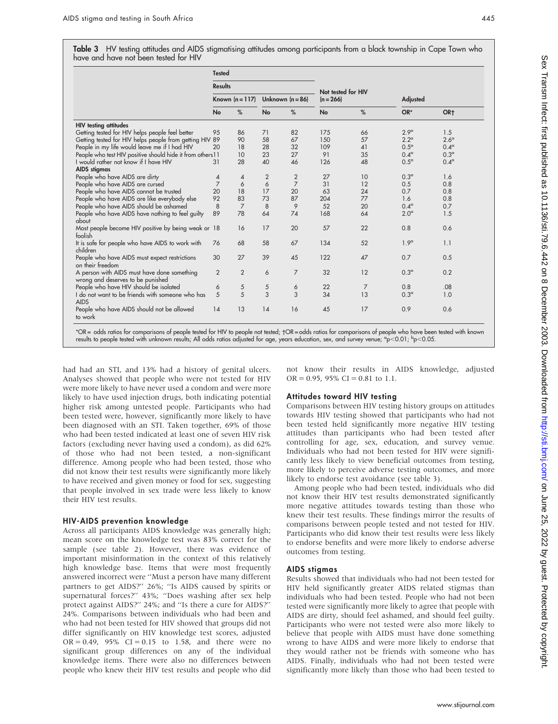|                                                                                  | <b>Tested</b>     |                |                    |                |                                   |                |               |                  |
|----------------------------------------------------------------------------------|-------------------|----------------|--------------------|----------------|-----------------------------------|----------------|---------------|------------------|
|                                                                                  | <b>Results</b>    |                |                    |                |                                   |                |               |                  |
|                                                                                  | Known $(n = 117)$ |                | Unknown $(n = 86)$ |                | Not tested for HIV<br>$(n = 266)$ |                | Adjusted      |                  |
|                                                                                  | <b>No</b>         | %              | <b>No</b>          | %              | <b>No</b>                         | %              | OR*           | OR <sub>t</sub>  |
| <b>HIV</b> testing attitudes                                                     |                   |                |                    |                |                                   |                |               |                  |
| Getting tested for HIV helps people feel better                                  | 95                | 86             | 71                 | 82             | 175                               | 66             | $2.9^\circ$   | 1.5              |
| Getting tested for HIV helps people from getting HIV 89                          |                   | 90             | 58                 | 67             | 150                               | 57             | $2.2^{\circ}$ | 2.6 <sup>a</sup> |
| People in my life would leave me if I had HIV                                    | 20                | 18             | 28                 | 32             | 109                               | 41             | $0.5^\circ$   | $0.4^\circ$      |
| People who test HIV positive should hide it from others 11                       |                   | 10             | 23                 | 27             | 91                                | 35             | $0.4^\circ$   | 0.3 <sup>a</sup> |
| I would rather not know if I have HIV                                            | 31                | 28             | 40                 | 46             | 126                               | 48             | $0.5^\circ$   | $0.4^\circ$      |
| <b>AIDS</b> stigmas                                                              |                   |                |                    |                |                                   |                |               |                  |
| People who have AIDS are dirty                                                   | 4                 | 4              | $\overline{2}$     | $\overline{2}$ | 27                                | 10             | $0.3^\circ$   | 1.6              |
| People who have AIDS are cursed                                                  | $\overline{7}$    | 6              | 6                  | $\overline{7}$ | 31                                | 12             | 0.5           | 0.8              |
| People who have AIDS cannot be trusted                                           | 20                | 18             | 17                 | 20             | 63                                | 24             | 0.7           | 0.8              |
| People who have AIDS are like everybody else                                     | 92                | 83             | 73                 | 87             | 204                               | 77             | 1.6           | 0.8              |
| People who have AIDS should be ashamed                                           | 8                 | $\overline{7}$ | 8                  | 9              | 52                                | 20             | $0.4^\circ$   | 0.7              |
| People who have AIDS have nothing to feel guilty<br>about                        | 89                | 78             | 64                 | 74             | 168                               | 64             | $2.0^\circ$   | 1.5              |
| Most people become HIV positive by being weak or 18<br>foolish                   |                   | 16             | 17                 | 20             | 57                                | 22             | 0.8           | 0.6              |
| It is safe for people who have AIDS to work with<br>children                     | 76                | 68             | 58                 | 67             | 134                               | 52             | $1.9^\circ$   | 1.1              |
| People who have AIDS must expect restrictions<br>on their freedom                | 30                | 27             | 39                 | 45             | 122                               | 47             | 0.7           | 0.5              |
| A person with AIDS must have done something<br>wrong and deserves to be punished | 2                 | 2              | 6                  | $\overline{7}$ | 32                                | 12             | $0.3^\circ$   | 0.2              |
| People who have HIV should be isolated                                           | 6                 | 5              | 5                  | 6              | 22                                | $\overline{7}$ | 0.8           | .08              |
| I do not want to be friends with someone who has<br><b>AIDS</b>                  | 5                 | 5              | 3                  | 3              | 34                                | 13             | $0.3^\circ$   | 1.0              |
| People who have AIDS should not be allowed<br>to work                            | 14                | 13             | 14                 | 16             | 45                                | 17             | 0.9           | 0.6              |

\*OR= odds ratios for comparisons of people tested for HIV to people not tested; †OR=odds ratios for comparisons of people who have been tested with known<br>results to people tested with unknown results; All odds ratios adjus

had had an STI, and 13% had a history of genital ulcers. Analyses showed that people who were not tested for HIV were more likely to have never used a condom and were more likely to have used injection drugs, both indicating potential higher risk among untested people. Participants who had been tested were, however, significantly more likely to have been diagnosed with an STI. Taken together, 69% of those who had been tested indicated at least one of seven HIV risk factors (excluding never having used a condom), as did 62% of those who had not been tested, a non-significant difference. Among people who had been tested, those who did not know their test results were significantly more likely to have received and given money or food for sex, suggesting that people involved in sex trade were less likely to know their HIV test results.

### HIV-AIDS prevention knowledge

Across all participants AIDS knowledge was generally high; mean score on the knowledge test was 83% correct for the sample (see table 2). However, there was evidence of important misinformation in the context of this relatively high knowledge base. Items that were most frequently answered incorrect were ''Must a person have many different partners to get AIDS?'' 26%; ''Is AIDS caused by spirits or supernatural forces?'' 43%; ''Does washing after sex help protect against AIDS?'' 24%; and ''Is there a cure for AIDS?'' 24%. Comparisons between individuals who had been and who had not been tested for HIV showed that groups did not differ significantly on HIV knowledge test scores, adjusted  $OR = 0.49$ , 95%  $CI = 0.15$  to 1.58, and there were no significant group differences on any of the individual knowledge items. There were also no differences between people who knew their HIV test results and people who did not know their results in AIDS knowledge, adjusted  $OR = 0.95$ , 95%  $CI = 0.81$  to 1.1.

### Attitudes toward HIV testing

Comparisons between HIV testing history groups on attitudes towards HIV testing showed that participants who had not been tested held significantly more negative HIV testing attitudes than participants who had been tested after controlling for age, sex, education, and survey venue. Individuals who had not been tested for HIV were significantly less likely to view beneficial outcomes from testing, more likely to perceive adverse testing outcomes, and more likely to endorse test avoidance (see table 3).

Among people who had been tested, individuals who did not know their HIV test results demonstrated significantly more negative attitudes towards testing than those who knew their test results. These findings mirror the results of comparisons between people tested and not tested for HIV. Participants who did know their test results were less likely to endorse benefits and were more likely to endorse adverse outcomes from testing.

### AIDS stigmas

Results showed that individuals who had not been tested for HIV held significantly greater AIDS related stigmas than individuals who had been tested. People who had not been tested were significantly more likely to agree that people with AIDS are dirty, should feel ashamed, and should feel guilty. Participants who were not tested were also more likely to believe that people with AIDS must have done something wrong to have AIDS and were more likely to endorse that they would rather not be friends with someone who has AIDS. Finally, individuals who had not been tested were significantly more likely than those who had been tested to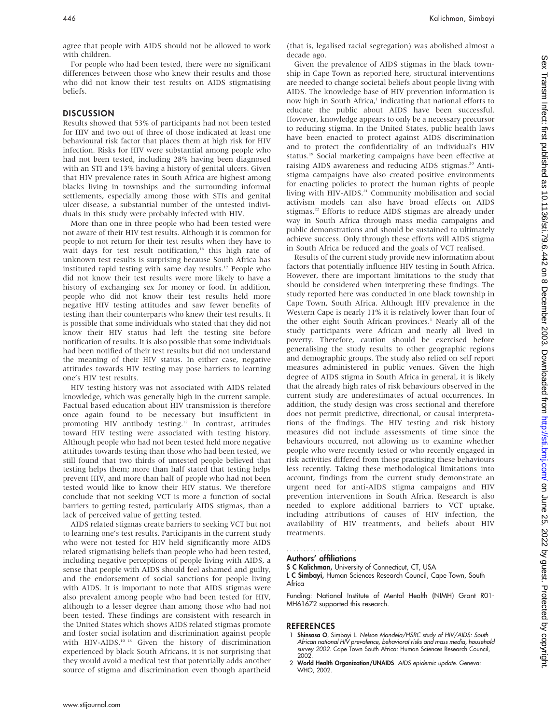agree that people with AIDS should not be allowed to work with children.

For people who had been tested, there were no significant differences between those who knew their results and those who did not know their test results on AIDS stigmatising beliefs.

### **DISCUSSION**

Results showed that 53% of participants had not been tested for HIV and two out of three of those indicated at least one behavioural risk factor that places them at high risk for HIV infection. Risks for HIV were substantial among people who had not been tested, including 28% having been diagnosed with an STI and 13% having a history of genital ulcers. Given that HIV prevalence rates in South Africa are highest among blacks living in townships and the surrounding informal settlements, especially among those with STIs and genital ulcer disease, a substantial number of the untested individuals in this study were probably infected with HIV.

More than one in three people who had been tested were not aware of their HIV test results. Although it is common for people to not return for their test results when they have to wait days for test result notification,<sup>16</sup> this high rate of unknown test results is surprising because South Africa has instituted rapid testing with same day results.17 People who did not know their test results were more likely to have a history of exchanging sex for money or food. In addition, people who did not know their test results held more negative HIV testing attitudes and saw fewer benefits of testing than their counterparts who knew their test results. It is possible that some individuals who stated that they did not know their HIV status had left the testing site before notification of results. It is also possible that some individuals had been notified of their test results but did not understand the meaning of their HIV status. In either case, negative attitudes towards HIV testing may pose barriers to learning one's HIV test results.

HIV testing history was not associated with AIDS related knowledge, which was generally high in the current sample. Factual based education about HIV transmission is therefore once again found to be necessary but insufficient in promoting HIV antibody testing.12 In contrast, attitudes toward HIV testing were associated with testing history. Although people who had not been tested held more negative attitudes towards testing than those who had been tested, we still found that two thirds of untested people believed that testing helps them; more than half stated that testing helps prevent HIV, and more than half of people who had not been tested would like to know their HIV status. We therefore conclude that not seeking VCT is more a function of social barriers to getting tested, particularly AIDS stigmas, than a lack of perceived value of getting tested.

AIDS related stigmas create barriers to seeking VCT but not to learning one's test results. Participants in the current study who were not tested for HIV held significantly more AIDS related stigmatising beliefs than people who had been tested, including negative perceptions of people living with AIDS, a sense that people with AIDS should feel ashamed and guilty, and the endorsement of social sanctions for people living with AIDS. It is important to note that AIDS stigmas were also prevalent among people who had been tested for HIV, although to a lesser degree than among those who had not been tested. These findings are consistent with research in the United States which shows AIDS related stigmas promote and foster social isolation and discrimination against people with HIV-AIDS.<sup>10 18</sup> Given the history of discrimination experienced by black South Africans, it is not surprising that they would avoid a medical test that potentially adds another source of stigma and discrimination even though apartheid (that is, legalised racial segregation) was abolished almost a decade ago.

Given the prevalence of AIDS stigmas in the black township in Cape Town as reported here, structural interventions are needed to change societal beliefs about people living with AIDS. The knowledge base of HIV prevention information is now high in South Africa,<sup>1</sup> indicating that national efforts to educate the public about AIDS have been successful. However, knowledge appears to only be a necessary precursor to reducing stigma. In the United States, public health laws have been enacted to protect against AIDS discrimination and to protect the confidentiality of an individual's HIV status.19 Social marketing campaigns have been effective at raising AIDS awareness and reducing AIDS stigmas.<sup>20</sup> Antistigma campaigns have also created positive environments for enacting policies to protect the human rights of people living with HIV-AIDS.<sup>21</sup> Community mobilisation and social activism models can also have broad effects on AIDS stigmas.22 Efforts to reduce AIDS stigmas are already under way in South Africa through mass media campaigns and public demonstrations and should be sustained to ultimately achieve success. Only through these efforts will AIDS stigma in South Africa be reduced and the goals of VCT realised.

Results of the current study provide new information about factors that potentially influence HIV testing in South Africa. However, there are important limitations to the study that should be considered when interpreting these findings. The study reported here was conducted in one black township in Cape Town, South Africa. Although HIV prevalence in the Western Cape is nearly 11% it is relatively lower than four of the other eight South African provinces.<sup>1</sup> Nearly all of the study participants were African and nearly all lived in poverty. Therefore, caution should be exercised before generalising the study results to other geographic regions and demographic groups. The study also relied on self report measures administered in public venues. Given the high degree of AIDS stigma in South Africa in general, it is likely that the already high rates of risk behaviours observed in the current study are underestimates of actual occurrences. In addition, the study design was cross sectional and therefore does not permit predictive, directional, or causal interpretations of the findings. The HIV testing and risk history measures did not include assessments of time since the behaviours occurred, not allowing us to examine whether people who were recently tested or who recently engaged in risk activities differed from those practising these behaviours less recently. Taking these methodological limitations into account, findings from the current study demonstrate an urgent need for anti-AIDS stigma campaigns and HIV prevention interventions in South Africa. Research is also needed to explore additional barriers to VCT uptake, including attributions of causes of HIV infection, the availability of HIV treatments, and beliefs about HIV treatments.

## .....................

Authors' affiliations

S C Kalichman, University of Connecticut, CT, USA

L C Simbayi, Human Sciences Research Council, Cape Town, South Africa

Funding: National Institute of Mental Health (NIMH) Grant R01- MH61672 supported this research.

### REFERENCES

- 1 Shinsasa O, Simbayi L. Nelson Mandela/HSRC study of HIV/AIDS: South African national HIV prevalence, behavioral risks and mass media, household survey 2002. Cape Town South Africa: Human Sciences Research Council, 2002.
- 2 World Health Organization/UNAIDS. AIDS epidemic update. Geneva: WHO, 2002.